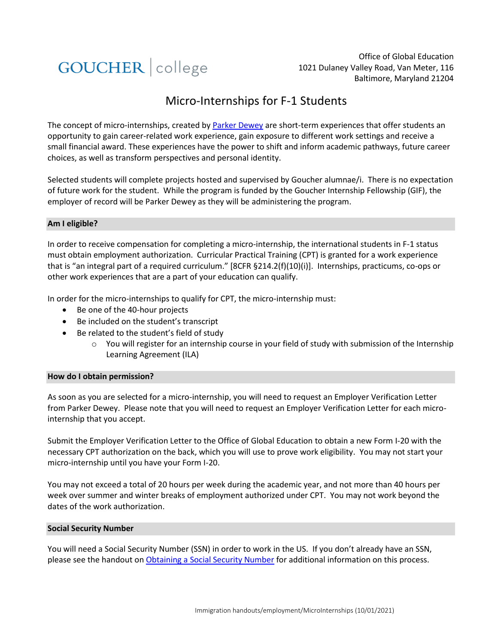

Office of Global Education 1021 Dulaney Valley Road, Van Meter, 116 Baltimore, Maryland 21204

# Micro-Internships for F-1 Students

The concept of micro-internships, created b[y Parker Dewey](https://www.parkerdewey.com/) are short-term experiences that offer students an opportunity to gain career-related work experience, gain exposure to different work settings and receive a small financial award. These experiences have the power to shift and inform academic pathways, future career choices, as well as transform perspectives and personal identity.

Selected students will complete projects hosted and supervised by Goucher alumnae/i. There is no expectation of future work for the student. While the program is funded by the Goucher Internship Fellowship (GIF), the employer of record will be Parker Dewey as they will be administering the program.

## **Am I eligible?**

In order to receive compensation for completing a micro-internship, the international students in F-1 status must obtain employment authorization. Curricular Practical Training (CPT) is granted for a work experience that is "an integral part of a required curriculum." [8CFR §214.2(f)(10)(i)]. Internships, practicums, co-ops or other work experiences that are a part of your education can qualify.

In order for the micro-internships to qualify for CPT, the micro-internship must:

- Be one of the 40-hour projects
- Be included on the student's transcript
- Be related to the student's field of study
	- o You will register for an internship course in your field of study with submission of the Internship Learning Agreement (ILA)

#### **How do I obtain permission?**

As soon as you are selected for a micro-internship, you will need to request an Employer Verification Letter from Parker Dewey. Please note that you will need to request an Employer Verification Letter for each microinternship that you accept.

Submit the Employer Verification Letter to the Office of Global Education to obtain a new Form I-20 with the necessary CPT authorization on the back, which you will use to prove work eligibility. You may not start your micro-internship until you have your Form I-20.

You may not exceed a total of 20 hours per week during the academic year, and not more than 40 hours per week over summer and winter breaks of employment authorized under CPT. You may not work beyond the dates of the work authorization.

#### **Social Security Number**

You will need a Social Security Number (SSN) in order to work in the US. If you don't already have an SSN, please see the handout o[n Obtaining a Social Security Number](https://www.goucher.edu/experience/equity-and-identity/international-student-support/documents/Obtaining-Social-Security-Number.pdf) for additional information on this process.